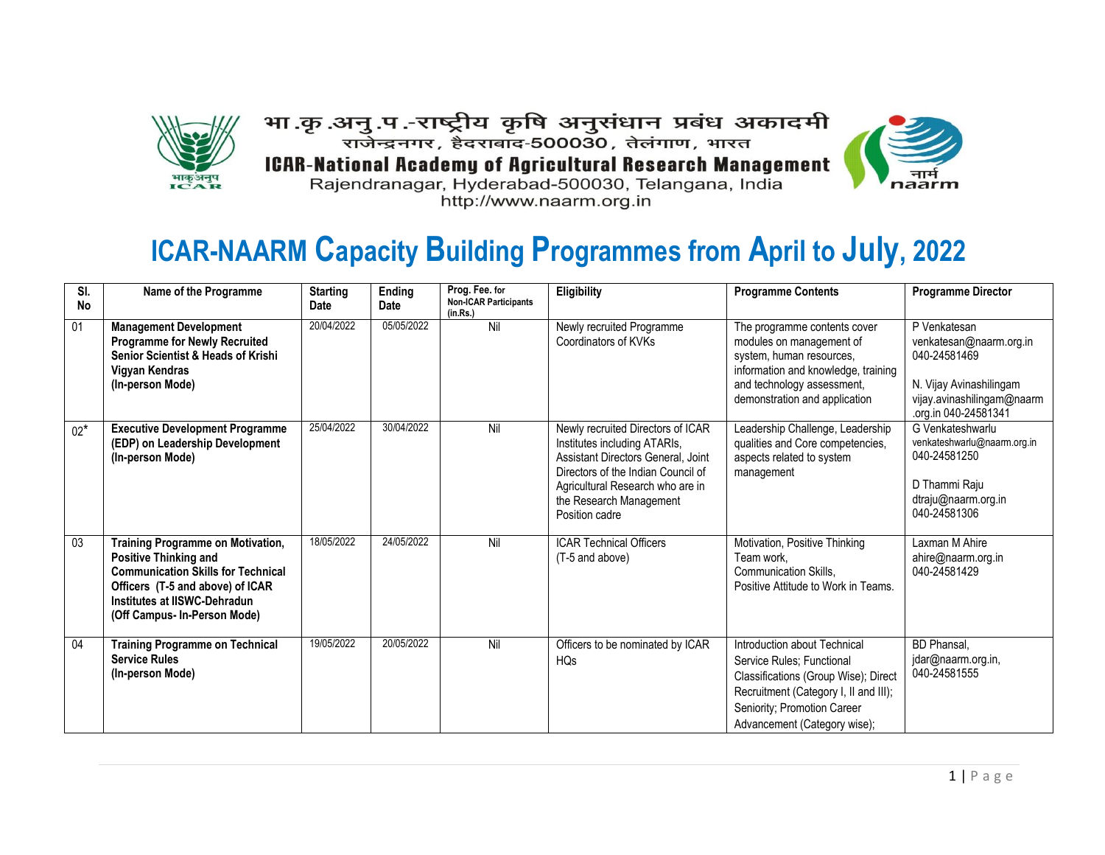

भा .कृ .अनु .प .-राष्ट्रीय कृषि अनुसंधान प्रबंध अकादमी राजेन्द्रनगर, हैदराबाद-500030, तेलंगाण, भारत **ICAR-National Academy of Agricultural Research Management** Rajendranagar, Hyderabad-500030, Telangana, India http://www.naarm.org.in



# **ICAR-NAARM Capacity Building Programmes from April to July, 2022**

| SI.<br><b>No</b> | Name of the Programme                                                                                                                                                                                                     | <b>Starting</b><br>Date | Ending<br><b>Date</b> | Prog. Fee. for<br><b>Non-ICAR Participants</b><br>(in.Rs.) | Eligibility                                                                                                                                                                                                                    | <b>Programme Contents</b>                                                                                                                                                                                 | <b>Programme Director</b>                                                                                                                |
|------------------|---------------------------------------------------------------------------------------------------------------------------------------------------------------------------------------------------------------------------|-------------------------|-----------------------|------------------------------------------------------------|--------------------------------------------------------------------------------------------------------------------------------------------------------------------------------------------------------------------------------|-----------------------------------------------------------------------------------------------------------------------------------------------------------------------------------------------------------|------------------------------------------------------------------------------------------------------------------------------------------|
| $\overline{01}$  | <b>Management Development</b><br><b>Programme for Newly Recruited</b><br><b>Senior Scientist &amp; Heads of Krishi</b><br>Vigyan Kendras<br>(In-person Mode)                                                              | 20/04/2022              | 05/05/2022            | Nil                                                        | Newly recruited Programme<br>Coordinators of KVKs                                                                                                                                                                              | The programme contents cover<br>modules on management of<br>system, human resources,<br>information and knowledge, training<br>and technology assessment,<br>demonstration and application                | P Venkatesan<br>venkatesan@naarm.org.in<br>040-24581469<br>N. Vijay Avinashilingam<br>vijay.avinashilingam@naarm<br>.org.in 040-24581341 |
| $02*$            | <b>Executive Development Programme</b><br>(EDP) on Leadership Development<br>(In-person Mode)                                                                                                                             | 25/04/2022              | 30/04/2022            | Nil                                                        | Newly recruited Directors of ICAR<br>Institutes including ATARIs,<br>Assistant Directors General, Joint<br>Directors of the Indian Council of<br>Agricultural Research who are in<br>the Research Management<br>Position cadre | Leadership Challenge, Leadership<br>qualities and Core competencies,<br>aspects related to system<br>management                                                                                           | G Venkateshwarlu<br>venkateshwarlu@naarm.org.in<br>040-24581250<br>D Thammi Raju<br>dtraju@naarm.org.in<br>040-24581306                  |
| 03               | <b>Training Programme on Motivation,</b><br><b>Positive Thinking and</b><br><b>Communication Skills for Technical</b><br>Officers (T-5 and above) of ICAR<br>Institutes at IISWC-Dehradun<br>(Off Campus- In-Person Mode) | 18/05/2022              | 24/05/2022            | Nil                                                        | <b>ICAR Technical Officers</b><br>(T-5 and above)                                                                                                                                                                              | Motivation, Positive Thinking<br>Team work.<br><b>Communication Skills.</b><br>Positive Attitude to Work in Teams.                                                                                        | Laxman M Ahire<br>ahire@naarm.org.in<br>040-24581429                                                                                     |
| 04               | <b>Training Programme on Technical</b><br><b>Service Rules</b><br>(In-person Mode)                                                                                                                                        | 19/05/2022              | 20/05/2022            | Nil                                                        | Officers to be nominated by ICAR<br><b>HQs</b>                                                                                                                                                                                 | Introduction about Technical<br>Service Rules; Functional<br>Classifications (Group Wise); Direct<br>Recruitment (Category I, II and III);<br>Seniority; Promotion Career<br>Advancement (Category wise); | <b>BD</b> Phansal,<br>jdar@naarm.org.in,<br>040-24581555                                                                                 |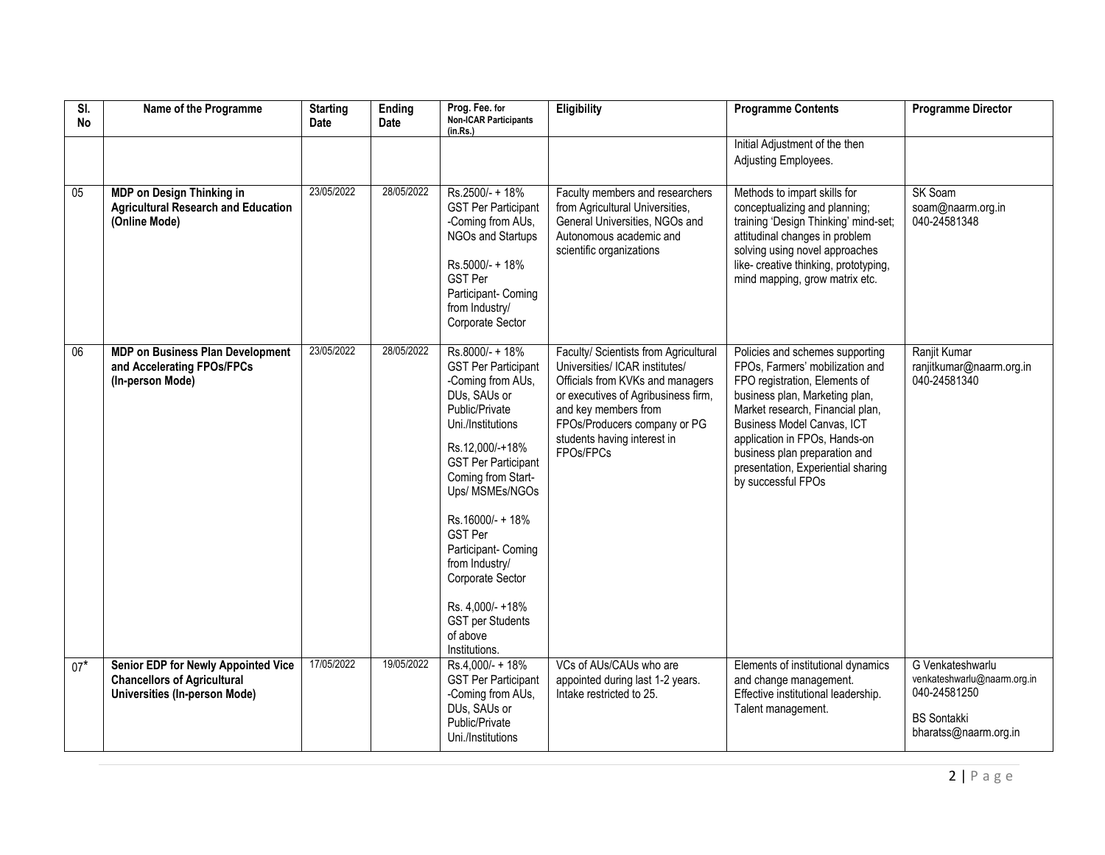| $\overline{\mathsf{S}}$<br><b>No</b> | Name of the Programme                                                                                                    | <b>Starting</b><br>Date | Ending<br>Date | Prog. Fee. for<br><b>Non-ICAR Participants</b><br>(in.Rs.)                                                                                                                                                                                                                                                                                                                                         | Eligibility                                                                                                                                                                                                                                            | <b>Programme Contents</b>                                                                                                                                                                                                                                                                                                             | <b>Programme Director</b>                                                                                      |
|--------------------------------------|--------------------------------------------------------------------------------------------------------------------------|-------------------------|----------------|----------------------------------------------------------------------------------------------------------------------------------------------------------------------------------------------------------------------------------------------------------------------------------------------------------------------------------------------------------------------------------------------------|--------------------------------------------------------------------------------------------------------------------------------------------------------------------------------------------------------------------------------------------------------|---------------------------------------------------------------------------------------------------------------------------------------------------------------------------------------------------------------------------------------------------------------------------------------------------------------------------------------|----------------------------------------------------------------------------------------------------------------|
|                                      |                                                                                                                          |                         |                |                                                                                                                                                                                                                                                                                                                                                                                                    |                                                                                                                                                                                                                                                        | Initial Adjustment of the then<br>Adjusting Employees.                                                                                                                                                                                                                                                                                |                                                                                                                |
| 05                                   | MDP on Design Thinking in<br><b>Agricultural Research and Education</b><br>(Online Mode)                                 | 23/05/2022              | 28/05/2022     | Rs.2500/- + 18%<br><b>GST Per Participant</b><br>-Coming from AUs,<br>NGOs and Startups<br>Rs.5000/- + 18%<br><b>GST Per</b><br>Participant- Coming<br>from Industry/<br>Corporate Sector                                                                                                                                                                                                          | Faculty members and researchers<br>from Agricultural Universities,<br>General Universities, NGOs and<br>Autonomous academic and<br>scientific organizations                                                                                            | Methods to impart skills for<br>conceptualizing and planning;<br>training 'Design Thinking' mind-set;<br>attitudinal changes in problem<br>solving using novel approaches<br>like- creative thinking, prototyping,<br>mind mapping, grow matrix etc.                                                                                  | SK Soam<br>soam@naarm.org.in<br>040-24581348                                                                   |
| 06                                   | <b>MDP on Business Plan Development</b><br>and Accelerating FPOs/FPCs<br>(In-person Mode)                                | 23/05/2022              | 28/05/2022     | Rs.8000/- + 18%<br><b>GST Per Participant</b><br>-Coming from AUs,<br>DUs, SAUs or<br>Public/Private<br>Uni./Institutions<br>Rs.12,000/-+18%<br><b>GST Per Participant</b><br>Coming from Start-<br>Ups/ MSMEs/NGOs<br>Rs.16000/- + 18%<br><b>GST Per</b><br>Participant- Coming<br>from Industry/<br>Corporate Sector<br>Rs. 4,000/- +18%<br><b>GST per Students</b><br>of above<br>Institutions. | Faculty/ Scientists from Agricultural<br>Universities/ ICAR institutes/<br>Officials from KVKs and managers<br>or executives of Agribusiness firm,<br>and key members from<br>FPOs/Producers company or PG<br>students having interest in<br>FPOs/FPCs | Policies and schemes supporting<br>FPOs, Farmers' mobilization and<br>FPO registration, Elements of<br>business plan, Marketing plan,<br>Market research, Financial plan,<br>Business Model Canvas, ICT<br>application in FPOs, Hands-on<br>business plan preparation and<br>presentation, Experiential sharing<br>by successful FPOs | Ranjit Kumar<br>ranjitkumar@naarm.org.in<br>040-24581340                                                       |
| $07*$                                | <b>Senior EDP for Newly Appointed Vice</b><br><b>Chancellors of Agricultural</b><br><b>Universities (In-person Mode)</b> | 17/05/2022              | 19/05/2022     | Rs.4,000/- + 18%<br><b>GST Per Participant</b><br>-Coming from AUs,<br>DUs, SAUs or<br>Public/Private<br>Uni./Institutions                                                                                                                                                                                                                                                                         | VCs of AUs/CAUs who are<br>appointed during last 1-2 years.<br>Intake restricted to 25.                                                                                                                                                                | Elements of institutional dynamics<br>and change management.<br>Effective institutional leadership.<br>Talent management.                                                                                                                                                                                                             | G Venkateshwarlu<br>venkateshwarlu@naarm.org.in<br>040-24581250<br><b>BS Sontakki</b><br>bharatss@naarm.org.in |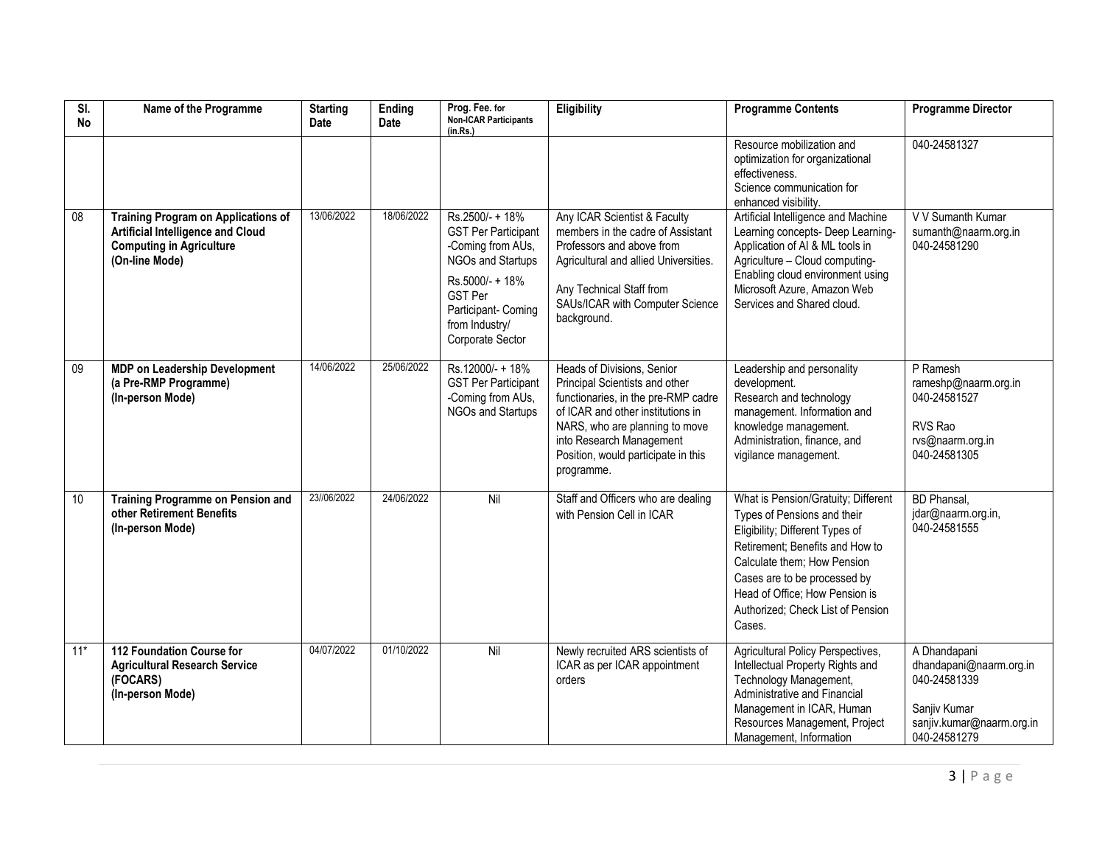| SI.<br>No       | Name of the Programme                                                                                                                       | <b>Starting</b><br><b>Date</b> | Ending<br><b>Date</b> | Prog. Fee. for<br><b>Non-ICAR Participants</b><br>(in.Rs.)                                                                                                                                | Eligibility                                                                                                                                                                                                                                                 | <b>Programme Contents</b>                                                                                                                                                                                                                                                                | <b>Programme Director</b>                                                                                            |
|-----------------|---------------------------------------------------------------------------------------------------------------------------------------------|--------------------------------|-----------------------|-------------------------------------------------------------------------------------------------------------------------------------------------------------------------------------------|-------------------------------------------------------------------------------------------------------------------------------------------------------------------------------------------------------------------------------------------------------------|------------------------------------------------------------------------------------------------------------------------------------------------------------------------------------------------------------------------------------------------------------------------------------------|----------------------------------------------------------------------------------------------------------------------|
|                 |                                                                                                                                             |                                |                       |                                                                                                                                                                                           |                                                                                                                                                                                                                                                             | Resource mobilization and<br>optimization for organizational<br>effectiveness.<br>Science communication for<br>enhanced visibility.                                                                                                                                                      | 040-24581327                                                                                                         |
| $\overline{08}$ | <b>Training Program on Applications of</b><br><b>Artificial Intelligence and Cloud</b><br><b>Computing in Agriculture</b><br>(On-line Mode) | 13/06/2022                     | 18/06/2022            | Rs.2500/- + 18%<br><b>GST Per Participant</b><br>-Coming from AUs,<br>NGOs and Startups<br>Rs.5000/- + 18%<br><b>GST Per</b><br>Participant- Coming<br>from Industry/<br>Corporate Sector | Any ICAR Scientist & Faculty<br>members in the cadre of Assistant<br>Professors and above from<br>Agricultural and allied Universities.<br>Any Technical Staff from<br>SAUs/ICAR with Computer Science<br>background.                                       | Artificial Intelligence and Machine<br>Learning concepts- Deep Learning-<br>Application of AI & ML tools in<br>Agriculture - Cloud computing-<br>Enabling cloud environment using<br>Microsoft Azure, Amazon Web<br>Services and Shared cloud.                                           | V V Sumanth Kumar<br>sumanth@naarm.org.in<br>040-24581290                                                            |
| $\overline{09}$ | <b>MDP on Leadership Development</b><br>(a Pre-RMP Programme)<br>(In-person Mode)                                                           | 14/06/2022                     | 25/06/2022            | Rs.12000/-+18%<br><b>GST Per Participant</b><br>-Coming from AUs,<br>NGOs and Startups                                                                                                    | Heads of Divisions, Senior<br>Principal Scientists and other<br>functionaries, in the pre-RMP cadre<br>of ICAR and other institutions in<br>NARS, who are planning to move<br>into Research Management<br>Position, would participate in this<br>programme. | Leadership and personality<br>development.<br>Research and technology<br>management. Information and<br>knowledge management.<br>Administration, finance, and<br>vigilance management.                                                                                                   | P Ramesh<br>rameshp@naarm.org.in<br>040-24581527<br>RVS Rao<br>rvs@naarm.org.in<br>040-24581305                      |
| 10              | <b>Training Programme on Pension and</b><br>other Retirement Benefits<br>(In-person Mode)                                                   | 23//06/2022                    | 24/06/2022            | Nil                                                                                                                                                                                       | Staff and Officers who are dealing<br>with Pension Cell in ICAR                                                                                                                                                                                             | What is Pension/Gratuity; Different<br>Types of Pensions and their<br>Eligibility; Different Types of<br>Retirement; Benefits and How to<br>Calculate them; How Pension<br>Cases are to be processed by<br>Head of Office; How Pension is<br>Authorized; Check List of Pension<br>Cases. | <b>BD</b> Phansal,<br>jdar@naarm.org.in,<br>040-24581555                                                             |
| $11*$           | 112 Foundation Course for<br><b>Agricultural Research Service</b><br>(FOCARS)<br>(In-person Mode)                                           | 04/07/2022                     | 01/10/2022            | Nil                                                                                                                                                                                       | Newly recruited ARS scientists of<br>ICAR as per ICAR appointment<br>orders                                                                                                                                                                                 | Agricultural Policy Perspectives,<br>Intellectual Property Rights and<br>Technology Management,<br>Administrative and Financial<br>Management in ICAR, Human<br>Resources Management, Project<br>Management, Information                                                                 | A Dhandapani<br>dhandapani@naarm.org.in<br>040-24581339<br>Sanjiv Kumar<br>sanjiv.kumar@naarm.org.in<br>040-24581279 |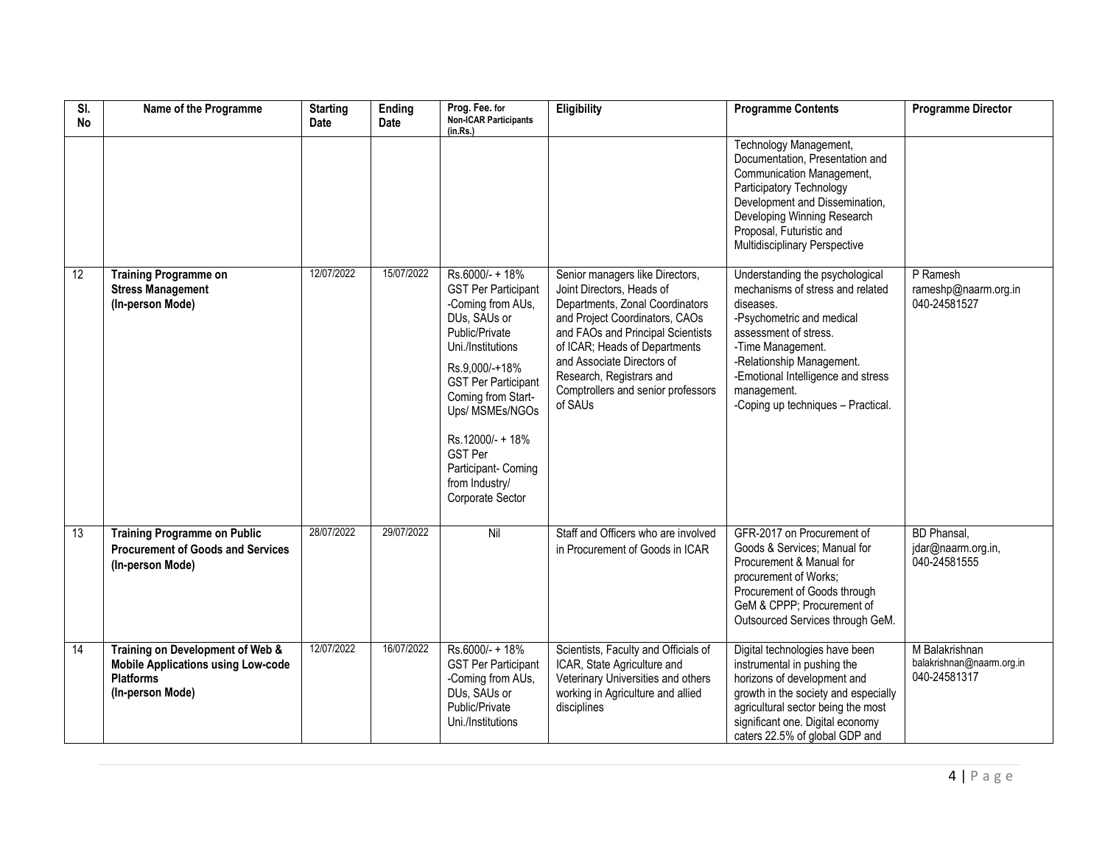| $\overline{\mathsf{S}}$<br><b>No</b> | Name of the Programme                                                                                                 | <b>Starting</b><br>Date | Ending<br>Date | Prog. Fee. for<br><b>Non-ICAR Participants</b><br>(in.Rs.)                                                                                                                                                                                                                                                            | Eligibility                                                                                                                                                                                                                                                                                                        | <b>Programme Contents</b>                                                                                                                                                                                                                                                           | <b>Programme Director</b>                                   |
|--------------------------------------|-----------------------------------------------------------------------------------------------------------------------|-------------------------|----------------|-----------------------------------------------------------------------------------------------------------------------------------------------------------------------------------------------------------------------------------------------------------------------------------------------------------------------|--------------------------------------------------------------------------------------------------------------------------------------------------------------------------------------------------------------------------------------------------------------------------------------------------------------------|-------------------------------------------------------------------------------------------------------------------------------------------------------------------------------------------------------------------------------------------------------------------------------------|-------------------------------------------------------------|
|                                      |                                                                                                                       |                         |                |                                                                                                                                                                                                                                                                                                                       |                                                                                                                                                                                                                                                                                                                    | Technology Management,<br>Documentation, Presentation and<br>Communication Management,<br>Participatory Technology<br>Development and Dissemination,<br>Developing Winning Research<br>Proposal, Futuristic and<br>Multidisciplinary Perspective                                    |                                                             |
| 12                                   | <b>Training Programme on</b><br><b>Stress Management</b><br>(In-person Mode)                                          | 12/07/2022              | 15/07/2022     | Rs.6000/- + 18%<br><b>GST Per Participant</b><br>-Coming from AUs,<br>DUs, SAUs or<br>Public/Private<br>Uni./Institutions<br>Rs.9,000/-+18%<br><b>GST Per Participant</b><br>Coming from Start-<br>Ups/ MSMEs/NGOs<br>Rs.12000/- + 18%<br><b>GST Per</b><br>Participant- Coming<br>from Industry/<br>Corporate Sector | Senior managers like Directors,<br>Joint Directors, Heads of<br>Departments, Zonal Coordinators<br>and Project Coordinators, CAOs<br>and FAOs and Principal Scientists<br>of ICAR; Heads of Departments<br>and Associate Directors of<br>Research, Registrars and<br>Comptrollers and senior professors<br>of SAUs | Understanding the psychological<br>mechanisms of stress and related<br>diseases.<br>-Psychometric and medical<br>assessment of stress.<br>-Time Management.<br>-Relationship Management.<br>-Emotional Intelligence and stress<br>management.<br>-Coping up techniques - Practical. | P Ramesh<br>rameshp@naarm.org.in<br>040-24581527            |
| 13                                   | <b>Training Programme on Public</b><br><b>Procurement of Goods and Services</b><br>(In-person Mode)                   | 28/07/2022              | 29/07/2022     | Nil                                                                                                                                                                                                                                                                                                                   | Staff and Officers who are involved<br>in Procurement of Goods in ICAR                                                                                                                                                                                                                                             | GFR-2017 on Procurement of<br>Goods & Services; Manual for<br>Procurement & Manual for<br>procurement of Works;<br>Procurement of Goods through<br>GeM & CPPP; Procurement of<br>Outsourced Services through GeM.                                                                   | <b>BD</b> Phansal,<br>jdar@naarm.org.in,<br>040-24581555    |
| 14                                   | Training on Development of Web &<br><b>Mobile Applications using Low-code</b><br><b>Platforms</b><br>(In-person Mode) | 12/07/2022              | 16/07/2022     | Rs.6000/- + 18%<br><b>GST Per Participant</b><br>-Coming from AUs,<br>DUs, SAUs or<br>Public/Private<br>Uni./Institutions                                                                                                                                                                                             | Scientists, Faculty and Officials of<br>ICAR, State Agriculture and<br>Veterinary Universities and others<br>working in Agriculture and allied<br>disciplines                                                                                                                                                      | Digital technologies have been<br>instrumental in pushing the<br>horizons of development and<br>growth in the society and especially<br>agricultural sector being the most<br>significant one. Digital economy<br>caters 22.5% of global GDP and                                    | M Balakrishnan<br>balakrishnan@naarm.org.in<br>040-24581317 |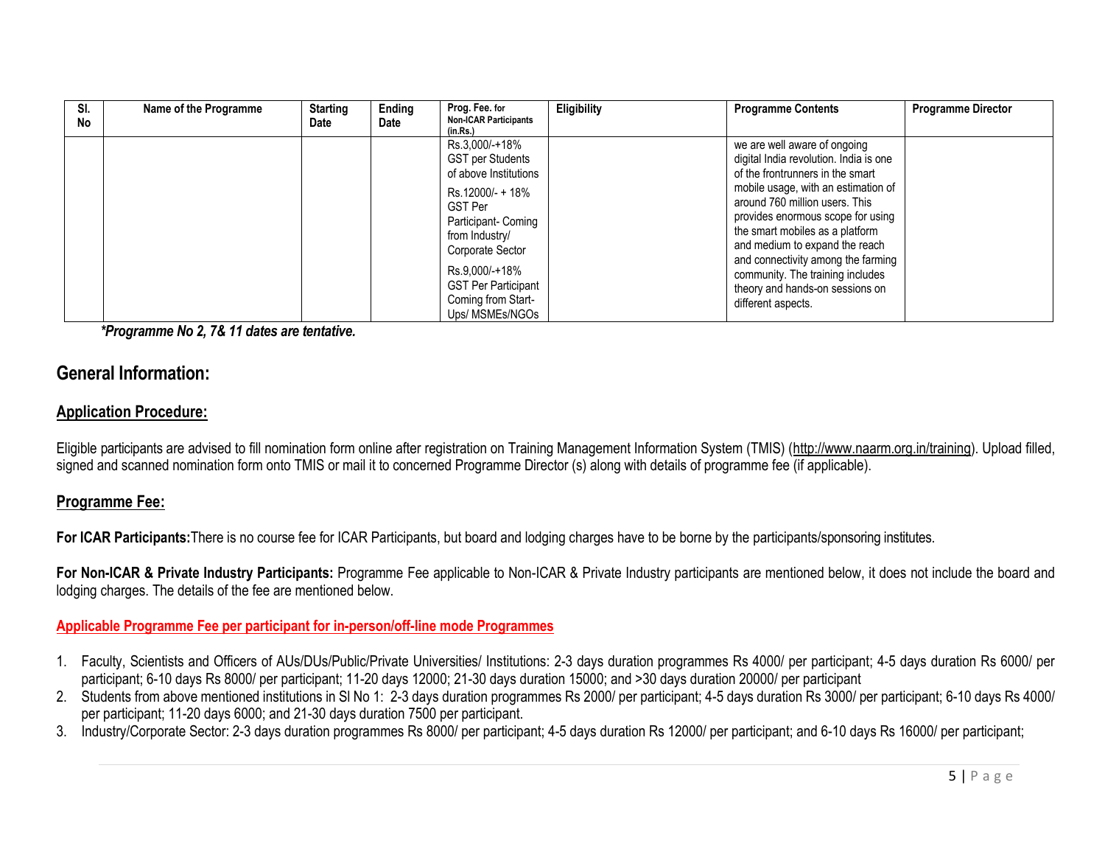| SI.<br>No | Name of the Programme | <b>Starting</b><br>Date | Ending<br>Date | Prog. Fee. for<br><b>Non-ICAR Participants</b><br>(in.Rs.)                                    | Eligibility | <b>Programme Contents</b>                                                                                                                                                                                          | <b>Programme Director</b> |
|-----------|-----------------------|-------------------------|----------------|-----------------------------------------------------------------------------------------------|-------------|--------------------------------------------------------------------------------------------------------------------------------------------------------------------------------------------------------------------|---------------------------|
|           |                       |                         |                | Rs.3,000/-+18%<br><b>GST per Students</b><br>of above Institutions<br>Rs.12000/- + 18%        |             | we are well aware of ongoing<br>digital India revolution. India is one<br>of the frontrunners in the smart<br>mobile usage, with an estimation of                                                                  |                           |
|           |                       |                         |                | <b>GST Per</b><br>Participant- Coming<br>from Industry/<br>Corporate Sector<br>Rs.9,000/-+18% |             | around 760 million users. This<br>provides enormous scope for using<br>the smart mobiles as a platform<br>and medium to expand the reach<br>and connectivity among the farming<br>community. The training includes |                           |
|           |                       |                         |                | <b>GST Per Participant</b><br>Coming from Start-<br>Ups/ MSMEs/NGOs                           |             | theory and hands-on sessions on<br>different aspects.                                                                                                                                                              |                           |

*\*Programme No 2, 7& 11 dates are tentative.*

# **General Information:**

# **Application Procedure:**

Eligible participants are advised to fill nomination form online after registration on Training Management Information System (TMIS) [\(http://www.naarm.org.in/training\)](http://www.naarm.org.in/training). Upload filled, signed and scanned nomination form onto TMIS or mail it to concerned Programme Director (s) along with details of programme fee (if applicable).

# **Programme Fee:**

**For ICAR Participants:**There is no course fee for ICAR Participants, but board and lodging charges have to be borne by the participants/sponsoring institutes.

For Non-ICAR & Private Industry Participants: Programme Fee applicable to Non-ICAR & Private Industry participants are mentioned below, it does not include the board and lodging charges. The details of the fee are mentioned below.

## **Applicable Programme Fee per participant for in-person/off-line mode Programmes**

- 1. Faculty, Scientists and Officers of AUs/DUs/Public/Private Universities/ Institutions: 2-3 days duration programmes Rs 4000/ per participant; 4-5 days duration Rs 6000/ per participant; 6-10 days Rs 8000/ per participant; 11-20 days 12000; 21-30 days duration 15000; and >30 days duration 20000/ per participant
- 2. Students from above mentioned institutions in Sl No 1: 2-3 days duration programmes Rs 2000/ per participant; 4-5 days duration Rs 3000/ per participant; 6-10 days Rs 4000/ per participant; 11-20 days 6000; and 21-30 days duration 7500 per participant.
- 3. Industry/Corporate Sector: 2-3 days duration programmes Rs 8000/ per participant; 4-5 days duration Rs 12000/ per participant; and 6-10 days Rs 16000/ per participant;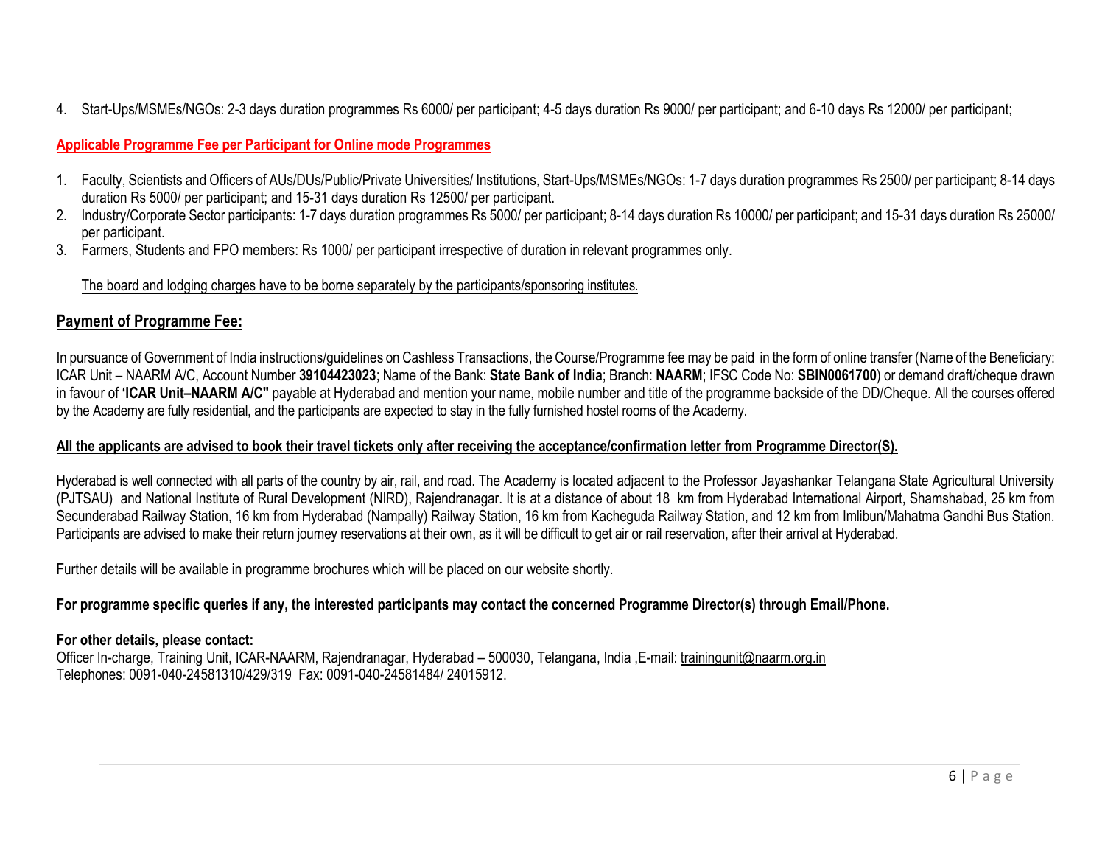4. Start-Ups/MSMEs/NGOs: 2-3 days duration programmes Rs 6000/ per participant; 4-5 days duration Rs 9000/ per participant; and 6-10 days Rs 12000/ per participant;

#### **Applicable Programme Fee per Participant for Online mode Programmes**

- 1. Faculty, Scientists and Officers of AUs/DUs/Public/Private Universities/ Institutions, Start-Ups/MSMEs/NGOs: 1-7 days duration programmes Rs 2500/ per participant; 8-14 days duration Rs 5000/ per participant; and 15-31 days duration Rs 12500/ per participant.
- 2. Industry/Corporate Sector participants: 1-7 days duration programmes Rs 5000/ per participant; 8-14 days duration Rs 10000/ per participant; and 15-31 days duration Rs 25000/ per participant.
- 3. Farmers, Students and FPO members: Rs 1000/ per participant irrespective of duration in relevant programmes only.

#### The board and lodging charges have to be borne separately by the participants/sponsoring institutes.

# **Payment of Programme Fee:**

In pursuance of Government of India instructions/guidelines on Cashless Transactions, the Course/Programme fee may be paid in the form of online transfer (Name of the Beneficiary: ICAR Unit – NAARM A/C, Account Number **39104423023**; Name of the Bank: **State Bank of India**; Branch: **NAARM**; IFSC Code No: **SBIN0061700**) or demand draft/cheque drawn in favour of **'ICAR Unit–NAARM A/C"** payable at Hyderabad and mention your name, mobile number and title of the programme backside of the DD/Cheque. All the courses offered by the Academy are fully residential, and the participants are expected to stay in the fully furnished hostel rooms of the Academy.

#### **All the applicants are advised to book their travel tickets only after receiving the acceptance/confirmation letter from Programme Director(S).**

Hyderabad is well connected with all parts of the country by air, rail, and road. The Academy is located adjacent to the Professor Jayashankar Telangana State Agricultural University (PJTSAU) and National Institute of Rural Development (NIRD), Rajendranagar. It is at a distance of about 18 km from Hyderabad International Airport, Shamshabad, 25 km from Secunderabad Railway Station, 16 km from Hyderabad (Nampally) Railway Station, 16 km from Kacheguda Railway Station, and 12 km from Imlibun/Mahatma Gandhi Bus Station. Participants are advised to make their return journey reservations at their own, as it will be difficult to get air or rail reservation, after their arrival at Hyderabad.

Further details will be available in programme brochures which will be placed on our website shortly.

## **For programme specific queries if any, the interested participants may contact the concerned Programme Director(s) through Email/Phone.**

## **For other details, please contact:**

Officer In-charge, Training Unit, ICAR-NAARM, Rajendranagar, Hyderabad – 500030, Telangana, India ,E-mail[: trainingunit@naarm.org.in](mailto:trainingunit@naarm.org.in) Telephones: 0091-040-24581310/429/319 Fax: 0091-040-24581484/ 24015912.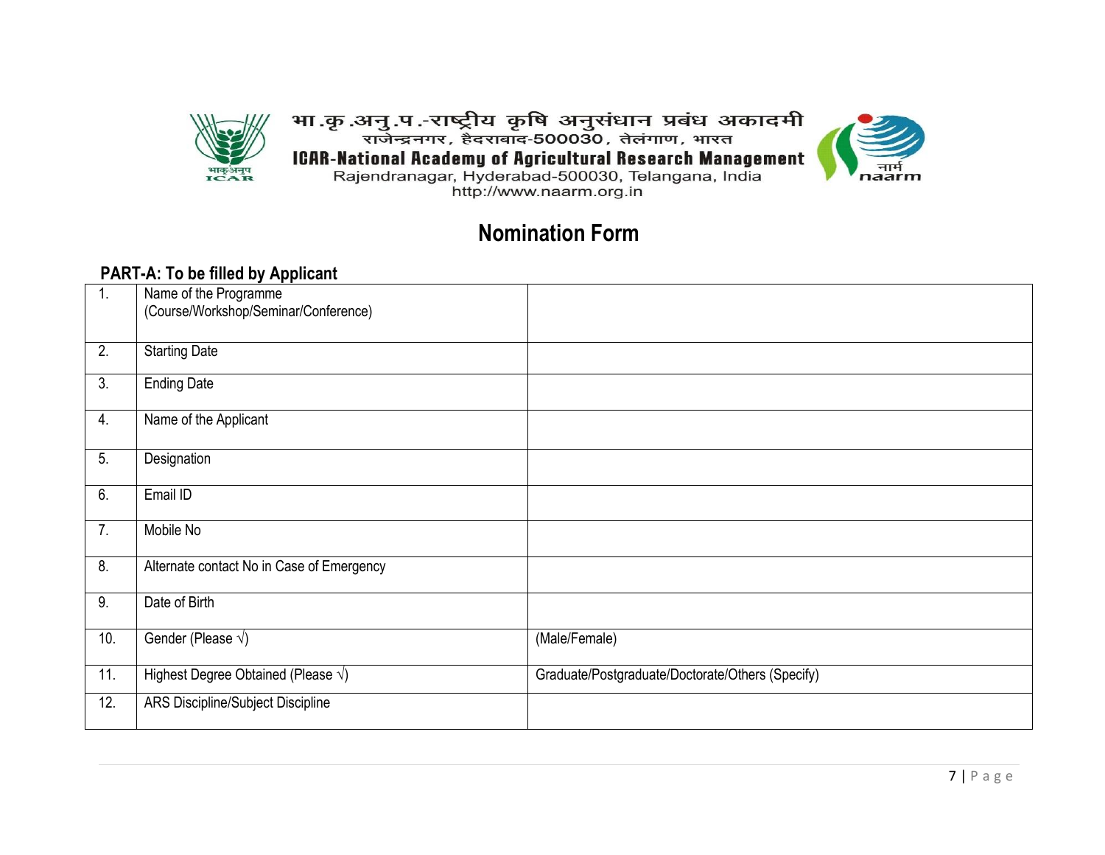

भा .कृ .अनु .प .-राष्ट्रीय कृषि अनुसंधान प्रबंध अकादमी<br>राजेन्द्रनगर, हैदराबाद-500030, तेलंगाण, भारत ICAR-National Academy of Agricultural Research Management<br>Rajendranagar, Hyderabad-500030, Telangana, India http://www.naarm.org.in



**Nomination Form**

# **PART-A: To be filled by Applicant**

| $\mathbf{1}$ . | .<br>Name of the Programme                  |                                                  |
|----------------|---------------------------------------------|--------------------------------------------------|
|                | (Course/Workshop/Seminar/Conference)        |                                                  |
| 2.             | <b>Starting Date</b>                        |                                                  |
| 3.             | <b>Ending Date</b>                          |                                                  |
|                |                                             |                                                  |
| 4.             | Name of the Applicant                       |                                                  |
| 5.             | Designation                                 |                                                  |
| 6.             | Email ID                                    |                                                  |
| 7.             | Mobile No                                   |                                                  |
| 8.             | Alternate contact No in Case of Emergency   |                                                  |
| 9.             | Date of Birth                               |                                                  |
| 10.            | Gender (Please $\sqrt{}$ )                  | (Male/Female)                                    |
| 11.            | Highest Degree Obtained (Please $\sqrt{}$ ) | Graduate/Postgraduate/Doctorate/Others (Specify) |
| 12.            | ARS Discipline/Subject Discipline           |                                                  |
|                |                                             |                                                  |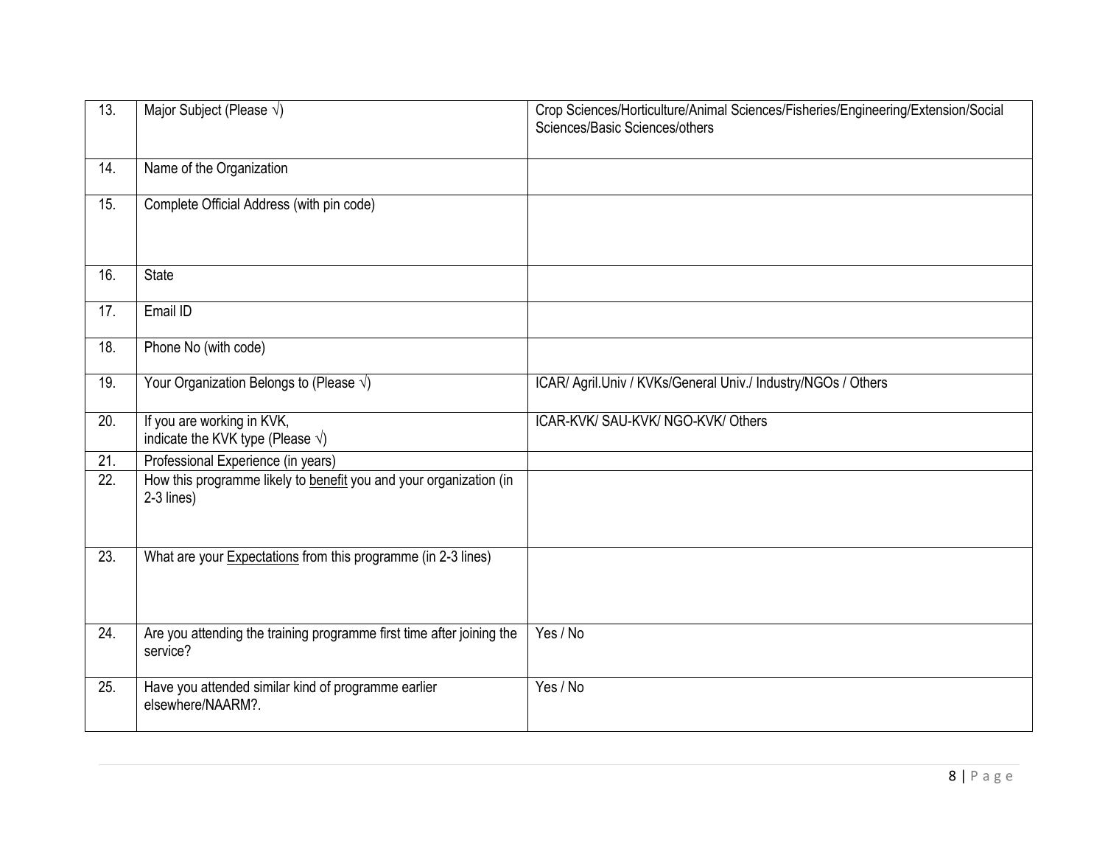| 13.               | Major Subject (Please $\sqrt{}$ )                                                 | Crop Sciences/Horticulture/Animal Sciences/Fisheries/Engineering/Extension/Social<br>Sciences/Basic Sciences/others |
|-------------------|-----------------------------------------------------------------------------------|---------------------------------------------------------------------------------------------------------------------|
| 14.               | Name of the Organization                                                          |                                                                                                                     |
| 15.               | Complete Official Address (with pin code)                                         |                                                                                                                     |
| 16.               | <b>State</b>                                                                      |                                                                                                                     |
| 17.               | Email ID                                                                          |                                                                                                                     |
| 18.               | Phone No (with code)                                                              |                                                                                                                     |
| 19.               | Your Organization Belongs to (Please $\sqrt{}$ )                                  | ICAR/ Agril.Univ / KVKs/General Univ./ Industry/NGOs / Others                                                       |
| $\overline{20}$ . | If you are working in KVK,<br>indicate the KVK type (Please $\sqrt{}$ )           | ICAR-KVK/ SAU-KVK/ NGO-KVK/ Others                                                                                  |
| $\overline{21}$ . | Professional Experience (in years)                                                |                                                                                                                     |
| 22.               | How this programme likely to benefit you and your organization (in<br>2-3 lines)  |                                                                                                                     |
| 23.               | What are your Expectations from this programme (in 2-3 lines)                     |                                                                                                                     |
| 24.               | Are you attending the training programme first time after joining the<br>service? | Yes / No                                                                                                            |
| 25.               | Have you attended similar kind of programme earlier<br>elsewhere/NAARM?.          | Yes / No                                                                                                            |